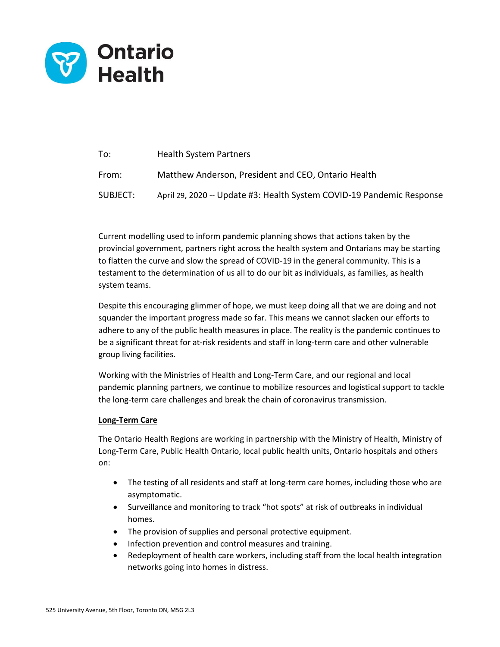

| To:      | <b>Health System Partners</b>                                         |
|----------|-----------------------------------------------------------------------|
| From:    | Matthew Anderson, President and CEO, Ontario Health                   |
| SUBJECT: | April 29, 2020 -- Update #3: Health System COVID-19 Pandemic Response |

Current modelling used to inform pandemic planning shows that actions taken by the provincial government, partners right across the health system and Ontarians may be starting to flatten the curve and slow the spread of COVID-19 in the general community. This is a testament to the determination of us all to do our bit as individuals, as families, as health system teams.

Despite this encouraging glimmer of hope, we must keep doing all that we are doing and not squander the important progress made so far. This means we cannot slacken our efforts to adhere to any of the public health measures in place. The reality is the pandemic continues to be a significant threat for at-risk residents and staff in long-term care and other vulnerable group living facilities.

Working with the Ministries of Health and Long-Term Care, and our regional and local pandemic planning partners, we continue to mobilize resources and logistical support to tackle the long-term care challenges and break the chain of coronavirus transmission.

#### **Long-Term Care**

The Ontario Health Regions are working in partnership with the Ministry of Health, Ministry of Long-Term Care, Public Health Ontario, local public health units, Ontario hospitals and others on:

- The testing of all residents and staff at long-term care homes, including those who are asymptomatic.
- Surveillance and monitoring to track "hot spots" at risk of outbreaks in individual homes.
- The provision of supplies and personal protective equipment.
- Infection prevention and control measures and training.
- Redeployment of health care workers, including staff from the local health integration networks going into homes in distress.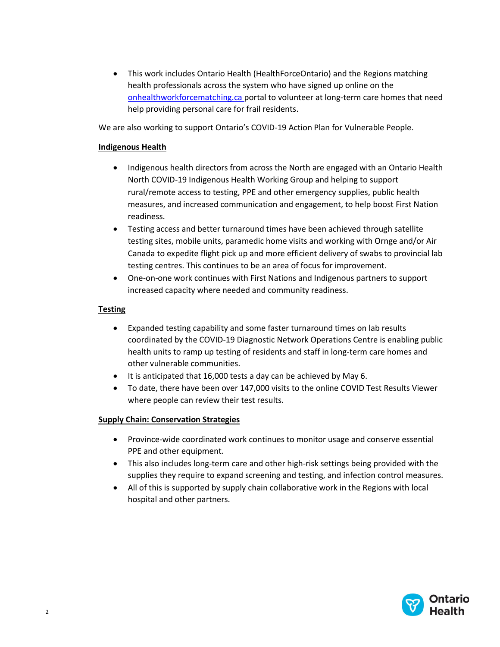• This work includes Ontario Health (HealthForceOntario) and the Regions matching health professionals across the system who have signed up online on the [onhealthworkforcematching.ca](https://can01.safelinks.protection.outlook.com/?url=https%3A%2F%2Flinkprotect.cudasvc.com%2Furl%3Fa%3Dhttps%253a%252f%252fonhealthworkforcematching.ca%26c%3DE%2C1%2CeGSb7Bo5Sw1MTx9g_d7DquTdxkfoj9PDVnywB9tqLIPcFn6SoEx76JBuwQ9SOI3pwT2CeiaZAarFRDpR-Uh1C7s5pJi2MaD-5D4wZ3ZqpC7oVQE%2C%26typo%3D1&data=02%7C01%7Cjennifer.schipper%40ontariohealth.ca%7C5c5708ff1ec84ee6f02708d7db003ff9%7C4ef96c5cd83f466ba478816a5bb4af62%7C0%7C0%7C637218666731118839&sdata=f4LXOC1sxgIZFyFs7lgQFZ2XpLCXxBUwNmJBZUeODBs%3D&reserved=0) portal to volunteer at long-term care homes that need help providing personal care for frail residents.

We are also working to support Ontario's COVID-19 Action Plan for Vulnerable People.

### **Indigenous Health**

- Indigenous health directors from across the North are engaged with an Ontario Health North COVID-19 Indigenous Health Working Group and helping to support rural/remote access to testing, PPE and other emergency supplies, public health measures, and increased communication and engagement, to help boost First Nation readiness.
- Testing access and better turnaround times have been achieved through satellite testing sites, mobile units, paramedic home visits and working with Ornge and/or Air Canada to expedite flight pick up and more efficient delivery of swabs to provincial lab testing centres. This continues to be an area of focus for improvement.
- One-on-one work continues with First Nations and Indigenous partners to support increased capacity where needed and community readiness.

# **Testing**

- Expanded testing capability and some faster turnaround times on lab results coordinated by the COVID-19 Diagnostic Network Operations Centre is enabling public health units to ramp up testing of residents and staff in long-term care homes and other vulnerable communities.
- It is anticipated that 16,000 tests a day can be achieved by May 6.
- To date, there have been over 147,000 visits to the online COVID Test Results Viewer where people can review their test results.

# **Supply Chain: Conservation Strategies**

- Province-wide coordinated work continues to monitor usage and conserve essential PPE and other equipment.
- This also includes long-term care and other high-risk settings being provided with the supplies they require to expand screening and testing, and infection control measures.
- All of this is supported by supply chain collaborative work in the Regions with local hospital and other partners.